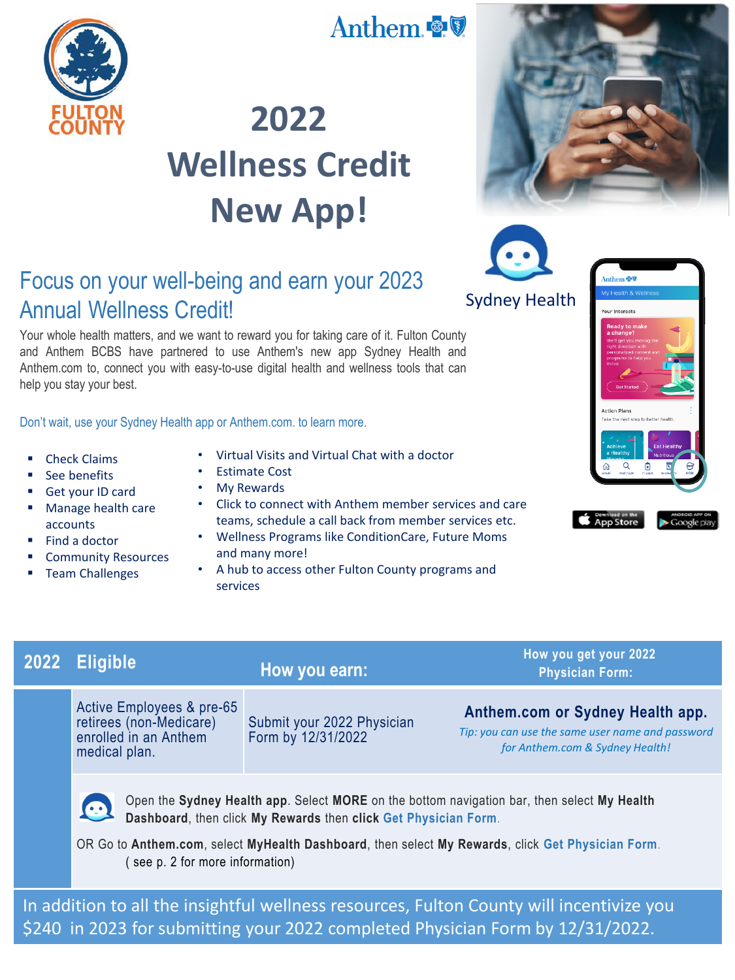

## Anthem & V

# **2022 Wellness Credit New App!**

### Focus on your well-being and earn your 2023 Annual Wellness Credit!

Your whole health matters, and we want to reward you for taking care of it. Fulton County and Anthem BCBS have partnered to use Anthem's new app Sydney Health and Anthem.com to, connect you with easy-to-use digital health and wellness tools that can help you stay your best.

Don't wait, use your Sydney Health app or Anthem.com. to learn more.

- Check Claims
- See benefits
- Get your ID card
- **Manage health care** accounts
- $\blacksquare$  Find a doctor
- Community Resources
- **Team Challenges**
- Virtual Visits and Virtual Chat with a doctor
- Estimate Cost
- My Rewards
- Click to connect with Anthem member services and care teams, schedule a call back from member services etc.
- Wellness Programs like ConditionCare, Future Moms and many more!
- A hub to access other Fulton County programs and services







### **How you earn:**

Active Employees & pre-65 retirees (non-Medicare) enrolled in an Anthem medical plan.

Submit your 2022 Physician Form by 12/31/2022

**2022 Eligible How you get your 2022 Physician Form:** 

#### **Anthem.com or Sydney Health app.**

*Tip: you can use the same user name and password for Anthem.com & Sydney Health!* 



Open the **Sydney Health app**. Select **MORE** on the bottom navigation bar, then select **My Health Dashboard**, then click **My Rewards** then **click Get Physician Form**.

OR Go to **Anthem.com**, select **MyHealth Dashboard**, then select **My Rewards**, click **Get Physician Form**. ( see p. 2 for more information)

In addition to all the insightful wellness resources, Fulton County will incentivize you \$240 in 2023 for submitting your 2022 completed Physician Form by 12/31/2022.